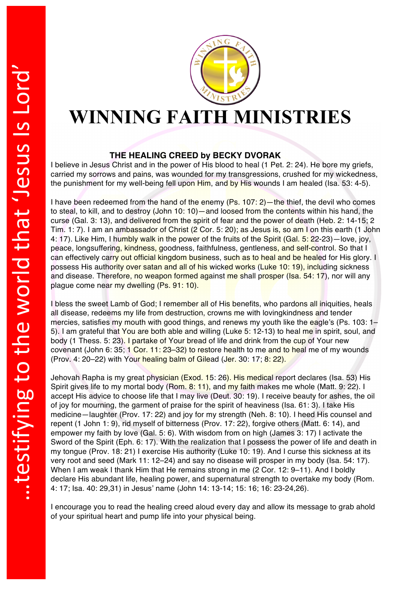

## **WINNING FAITH MINISTRIES**

## **THE HEALING CREED by BECKY DVORAK**

I believe in Jesus Christ and in the power of His blood to heal (1 Pet. 2: 24). He bore my griefs, carried my sorrows and pains, was wounded for my transgressions, crushed for my wickedness, the punishment for my well-being fell upon Him, and by His wounds I am healed (Isa. 53: 4-5).

I have been redeemed from the hand of the enemy (Ps. 107: 2)—the thief, the devil who comes to steal, to kill, and to destroy (John 10: 10)—and loosed from the contents within his hand, the curse (Gal. 3: 13), and delivered from the spirit of fear and the power of death (Heb. 2: 14-15; 2 Tim. 1: 7). I am an ambassador of Christ (2 Cor. 5: 20); as Jesus is, so am I on this earth (1 John 4: 17). Like Him, I humbly walk in the power of the fruits of the Spirit (Gal. 5: 22-23)—love, joy, peace, longsuffering, kindness, goodness, faithfulness, gentleness, and self-control. So that I can effectively carry out official kingdom business, such as to heal and be healed for His glory. I possess His authority over satan and all of his wicked works (Luke 10: 19), including sickness and disease. Therefore, no weapon formed against me shall prosper (Isa. 54: 17), nor will any plague come near my dwelling (Ps. 91: 10).

I bless the sweet Lamb of God; I remember all of His benefits, who pardons all iniquities, heals all disease, redeems my life from destruction, crowns me with loving kindness and tender mercies, satisfies my mouth with good things, and renews my youth like the eagle's (Ps. 103: 1– 5). I am grateful that You are both able and willing (Luke 5: 12-13) to heal me in spirit, soul, and body (1 Thess. 5: 23). I partake of Your bread of life and drink from the cup of Your new covenant (John 6: 35; 1 Cor. 11: 23–32) to restore health to me and to heal me of my wounds (Prov. 4: 20–22) with Your healing balm of Gilead (Jer. 30: 17; 8: 22).

Jehovah Rapha is my great physician (Exod. 15: 26). His medical report declares (Isa. 53) His Spirit gives life to my mortal body (Rom. 8: 11), and my faith makes me whole (Matt. 9: 22). I accept His advice to choose life that I may live (Deut. 30: 19). I receive beauty for ashes, the oil of joy for mourning, the garment of praise for the spirit of heaviness (Isa. 61: 3). I take His medicine—laughter (Prov. 17: 22) and joy for my strength (Neh. 8: 10). I heed His counsel and repent (1 John 1: 9), rid myself of bitterness (Prov. 17: 22), forgive others (Matt. 6: 14), and empower my faith by love (Gal. 5: 6). With wisdom from on high (James 3: 17) I activate the Sword of the Spirit (Eph. 6: 17). With the realization that I possess the power of life and death in my tongue (Prov. 18: 21) I exercise His authority (Luke 10: 19). And I curse this sickness at its very root and seed (Mark 11: 12–24) and say no disease will prosper in my body (Isa. 54: 17). When I am weak I thank Him that He remains strong in me (2 Cor. 12: 9-11). And I boldly declare His abundant life, healing power, and supernatural strength to overtake my body (Rom. 4: 17; Isa. 40: 29,31) in Jesus' name (John 14: 13-14; 15: 16; 16: 23-24,26).

I encourage you to read the healing creed aloud every day and allow its message to grab ahold of your spiritual heart and pump life into your physical being.